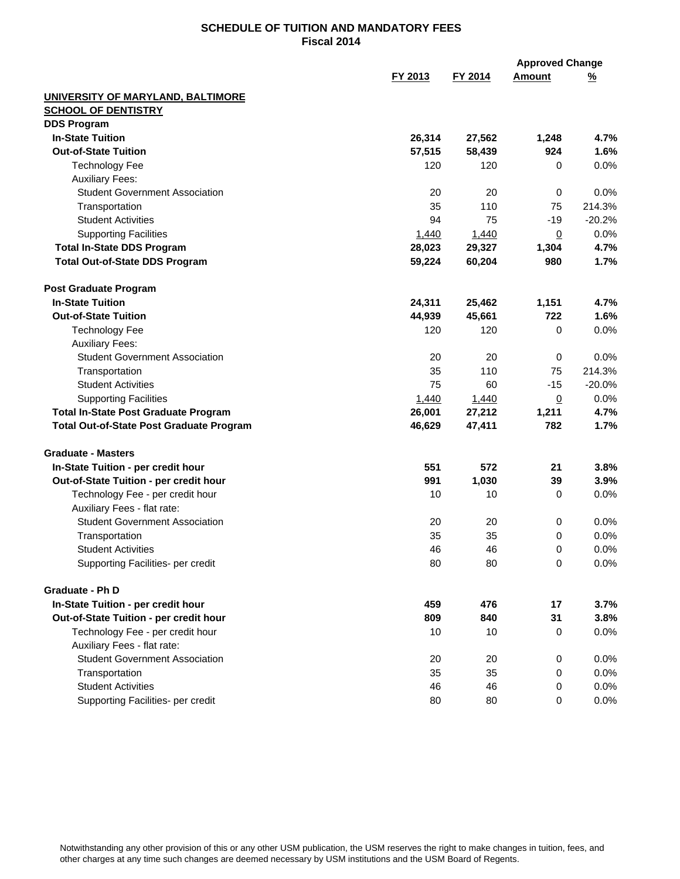| FY 2013<br>FY 2014<br><b>Amount</b><br><u>%</u><br>UNIVERSITY OF MARYLAND, BALTIMORE<br><b>SCHOOL OF DENTISTRY</b><br><b>DDS Program</b><br><b>In-State Tuition</b><br>26,314<br>27,562<br>4.7%<br>1,248<br>924<br><b>Out-of-State Tuition</b><br>57,515<br>58,439<br>1.6%<br><b>Technology Fee</b><br>120<br>120<br>0.0%<br>0<br><b>Auxiliary Fees:</b><br><b>Student Government Association</b><br>20<br>20<br>$\mathbf 0$<br>0.0%<br>35<br>110<br>214.3%<br>75<br>Transportation<br>$-20.2%$<br><b>Student Activities</b><br>94<br>75<br>$-19$<br><b>Supporting Facilities</b><br>1,440<br>1,440<br>0.0%<br>$\overline{0}$<br>28,023<br><b>Total In-State DDS Program</b><br>29,327<br>1,304<br>4.7%<br><b>Total Out-of-State DDS Program</b><br>59,224<br>60,204<br>980<br>1.7%<br><b>Post Graduate Program</b><br><b>In-State Tuition</b><br>1,151<br>4.7%<br>24,311<br>25,462<br><b>Out-of-State Tuition</b><br>45,661<br>722<br>1.6%<br>44,939<br><b>Technology Fee</b><br>120<br>120<br>0.0%<br>0<br><b>Auxiliary Fees:</b><br><b>Student Government Association</b><br>0.0%<br>20<br>20<br>0<br>Transportation<br>35<br>110<br>75<br>214.3%<br>$-20.0%$<br><b>Student Activities</b><br>75<br>60<br>$-15$<br><b>Supporting Facilities</b><br>0.0%<br>1,440<br>1,440<br>$\overline{0}$<br><b>Total In-State Post Graduate Program</b><br>26,001<br>27,212<br>1,211<br>4.7%<br>47,411<br>782<br>1.7%<br><b>Total Out-of-State Post Graduate Program</b><br>46,629<br><b>Graduate - Masters</b><br>551<br>572<br>In-State Tuition - per credit hour<br>21<br>3.8%<br>Out-of-State Tuition - per credit hour<br>991<br>1,030<br>39<br>3.9%<br>Technology Fee - per credit hour<br>10<br>10<br>0.0%<br>0<br>Auxiliary Fees - flat rate:<br><b>Student Government Association</b><br>20<br>20<br>0.0%<br>0<br>35<br>35<br>0.0%<br>Transportation<br>0<br>46<br>46<br>0.0%<br><b>Student Activities</b><br>0<br>Supporting Facilities- per credit<br>80<br>80<br>0<br>0.0%<br>Graduate - Ph D<br>In-State Tuition - per credit hour<br>459<br>476<br>17<br>3.7%<br>809<br>Out-of-State Tuition - per credit hour<br>840<br>31<br>3.8%<br>Technology Fee - per credit hour<br>10<br>10<br>0.0%<br>0<br>Auxiliary Fees - flat rate:<br><b>Student Government Association</b><br>20<br>20<br>0<br>0.0%<br>35<br>35<br>0.0%<br>Transportation<br>0<br><b>Student Activities</b><br>46<br>46<br>0.0%<br>0<br>Supporting Facilities- per credit<br>80<br>80<br>0<br>$0.0\%$ |  | <b>Approved Change</b> |  |
|-------------------------------------------------------------------------------------------------------------------------------------------------------------------------------------------------------------------------------------------------------------------------------------------------------------------------------------------------------------------------------------------------------------------------------------------------------------------------------------------------------------------------------------------------------------------------------------------------------------------------------------------------------------------------------------------------------------------------------------------------------------------------------------------------------------------------------------------------------------------------------------------------------------------------------------------------------------------------------------------------------------------------------------------------------------------------------------------------------------------------------------------------------------------------------------------------------------------------------------------------------------------------------------------------------------------------------------------------------------------------------------------------------------------------------------------------------------------------------------------------------------------------------------------------------------------------------------------------------------------------------------------------------------------------------------------------------------------------------------------------------------------------------------------------------------------------------------------------------------------------------------------------------------------------------------------------------------------------------------------------------------------------------------------------------------------------------------------------------------------------------------------------------------------------------------------------------------------------------------------------------------------------------------------------------------------------------------------------------------------------------------------------------------------------------------------------------------------------|--|------------------------|--|
|                                                                                                                                                                                                                                                                                                                                                                                                                                                                                                                                                                                                                                                                                                                                                                                                                                                                                                                                                                                                                                                                                                                                                                                                                                                                                                                                                                                                                                                                                                                                                                                                                                                                                                                                                                                                                                                                                                                                                                                                                                                                                                                                                                                                                                                                                                                                                                                                                                                                         |  |                        |  |
|                                                                                                                                                                                                                                                                                                                                                                                                                                                                                                                                                                                                                                                                                                                                                                                                                                                                                                                                                                                                                                                                                                                                                                                                                                                                                                                                                                                                                                                                                                                                                                                                                                                                                                                                                                                                                                                                                                                                                                                                                                                                                                                                                                                                                                                                                                                                                                                                                                                                         |  |                        |  |
|                                                                                                                                                                                                                                                                                                                                                                                                                                                                                                                                                                                                                                                                                                                                                                                                                                                                                                                                                                                                                                                                                                                                                                                                                                                                                                                                                                                                                                                                                                                                                                                                                                                                                                                                                                                                                                                                                                                                                                                                                                                                                                                                                                                                                                                                                                                                                                                                                                                                         |  |                        |  |
|                                                                                                                                                                                                                                                                                                                                                                                                                                                                                                                                                                                                                                                                                                                                                                                                                                                                                                                                                                                                                                                                                                                                                                                                                                                                                                                                                                                                                                                                                                                                                                                                                                                                                                                                                                                                                                                                                                                                                                                                                                                                                                                                                                                                                                                                                                                                                                                                                                                                         |  |                        |  |
|                                                                                                                                                                                                                                                                                                                                                                                                                                                                                                                                                                                                                                                                                                                                                                                                                                                                                                                                                                                                                                                                                                                                                                                                                                                                                                                                                                                                                                                                                                                                                                                                                                                                                                                                                                                                                                                                                                                                                                                                                                                                                                                                                                                                                                                                                                                                                                                                                                                                         |  |                        |  |
|                                                                                                                                                                                                                                                                                                                                                                                                                                                                                                                                                                                                                                                                                                                                                                                                                                                                                                                                                                                                                                                                                                                                                                                                                                                                                                                                                                                                                                                                                                                                                                                                                                                                                                                                                                                                                                                                                                                                                                                                                                                                                                                                                                                                                                                                                                                                                                                                                                                                         |  |                        |  |
|                                                                                                                                                                                                                                                                                                                                                                                                                                                                                                                                                                                                                                                                                                                                                                                                                                                                                                                                                                                                                                                                                                                                                                                                                                                                                                                                                                                                                                                                                                                                                                                                                                                                                                                                                                                                                                                                                                                                                                                                                                                                                                                                                                                                                                                                                                                                                                                                                                                                         |  |                        |  |
|                                                                                                                                                                                                                                                                                                                                                                                                                                                                                                                                                                                                                                                                                                                                                                                                                                                                                                                                                                                                                                                                                                                                                                                                                                                                                                                                                                                                                                                                                                                                                                                                                                                                                                                                                                                                                                                                                                                                                                                                                                                                                                                                                                                                                                                                                                                                                                                                                                                                         |  |                        |  |
|                                                                                                                                                                                                                                                                                                                                                                                                                                                                                                                                                                                                                                                                                                                                                                                                                                                                                                                                                                                                                                                                                                                                                                                                                                                                                                                                                                                                                                                                                                                                                                                                                                                                                                                                                                                                                                                                                                                                                                                                                                                                                                                                                                                                                                                                                                                                                                                                                                                                         |  |                        |  |
|                                                                                                                                                                                                                                                                                                                                                                                                                                                                                                                                                                                                                                                                                                                                                                                                                                                                                                                                                                                                                                                                                                                                                                                                                                                                                                                                                                                                                                                                                                                                                                                                                                                                                                                                                                                                                                                                                                                                                                                                                                                                                                                                                                                                                                                                                                                                                                                                                                                                         |  |                        |  |
|                                                                                                                                                                                                                                                                                                                                                                                                                                                                                                                                                                                                                                                                                                                                                                                                                                                                                                                                                                                                                                                                                                                                                                                                                                                                                                                                                                                                                                                                                                                                                                                                                                                                                                                                                                                                                                                                                                                                                                                                                                                                                                                                                                                                                                                                                                                                                                                                                                                                         |  |                        |  |
|                                                                                                                                                                                                                                                                                                                                                                                                                                                                                                                                                                                                                                                                                                                                                                                                                                                                                                                                                                                                                                                                                                                                                                                                                                                                                                                                                                                                                                                                                                                                                                                                                                                                                                                                                                                                                                                                                                                                                                                                                                                                                                                                                                                                                                                                                                                                                                                                                                                                         |  |                        |  |
|                                                                                                                                                                                                                                                                                                                                                                                                                                                                                                                                                                                                                                                                                                                                                                                                                                                                                                                                                                                                                                                                                                                                                                                                                                                                                                                                                                                                                                                                                                                                                                                                                                                                                                                                                                                                                                                                                                                                                                                                                                                                                                                                                                                                                                                                                                                                                                                                                                                                         |  |                        |  |
|                                                                                                                                                                                                                                                                                                                                                                                                                                                                                                                                                                                                                                                                                                                                                                                                                                                                                                                                                                                                                                                                                                                                                                                                                                                                                                                                                                                                                                                                                                                                                                                                                                                                                                                                                                                                                                                                                                                                                                                                                                                                                                                                                                                                                                                                                                                                                                                                                                                                         |  |                        |  |
|                                                                                                                                                                                                                                                                                                                                                                                                                                                                                                                                                                                                                                                                                                                                                                                                                                                                                                                                                                                                                                                                                                                                                                                                                                                                                                                                                                                                                                                                                                                                                                                                                                                                                                                                                                                                                                                                                                                                                                                                                                                                                                                                                                                                                                                                                                                                                                                                                                                                         |  |                        |  |
|                                                                                                                                                                                                                                                                                                                                                                                                                                                                                                                                                                                                                                                                                                                                                                                                                                                                                                                                                                                                                                                                                                                                                                                                                                                                                                                                                                                                                                                                                                                                                                                                                                                                                                                                                                                                                                                                                                                                                                                                                                                                                                                                                                                                                                                                                                                                                                                                                                                                         |  |                        |  |
|                                                                                                                                                                                                                                                                                                                                                                                                                                                                                                                                                                                                                                                                                                                                                                                                                                                                                                                                                                                                                                                                                                                                                                                                                                                                                                                                                                                                                                                                                                                                                                                                                                                                                                                                                                                                                                                                                                                                                                                                                                                                                                                                                                                                                                                                                                                                                                                                                                                                         |  |                        |  |
|                                                                                                                                                                                                                                                                                                                                                                                                                                                                                                                                                                                                                                                                                                                                                                                                                                                                                                                                                                                                                                                                                                                                                                                                                                                                                                                                                                                                                                                                                                                                                                                                                                                                                                                                                                                                                                                                                                                                                                                                                                                                                                                                                                                                                                                                                                                                                                                                                                                                         |  |                        |  |
|                                                                                                                                                                                                                                                                                                                                                                                                                                                                                                                                                                                                                                                                                                                                                                                                                                                                                                                                                                                                                                                                                                                                                                                                                                                                                                                                                                                                                                                                                                                                                                                                                                                                                                                                                                                                                                                                                                                                                                                                                                                                                                                                                                                                                                                                                                                                                                                                                                                                         |  |                        |  |
|                                                                                                                                                                                                                                                                                                                                                                                                                                                                                                                                                                                                                                                                                                                                                                                                                                                                                                                                                                                                                                                                                                                                                                                                                                                                                                                                                                                                                                                                                                                                                                                                                                                                                                                                                                                                                                                                                                                                                                                                                                                                                                                                                                                                                                                                                                                                                                                                                                                                         |  |                        |  |
|                                                                                                                                                                                                                                                                                                                                                                                                                                                                                                                                                                                                                                                                                                                                                                                                                                                                                                                                                                                                                                                                                                                                                                                                                                                                                                                                                                                                                                                                                                                                                                                                                                                                                                                                                                                                                                                                                                                                                                                                                                                                                                                                                                                                                                                                                                                                                                                                                                                                         |  |                        |  |
|                                                                                                                                                                                                                                                                                                                                                                                                                                                                                                                                                                                                                                                                                                                                                                                                                                                                                                                                                                                                                                                                                                                                                                                                                                                                                                                                                                                                                                                                                                                                                                                                                                                                                                                                                                                                                                                                                                                                                                                                                                                                                                                                                                                                                                                                                                                                                                                                                                                                         |  |                        |  |
|                                                                                                                                                                                                                                                                                                                                                                                                                                                                                                                                                                                                                                                                                                                                                                                                                                                                                                                                                                                                                                                                                                                                                                                                                                                                                                                                                                                                                                                                                                                                                                                                                                                                                                                                                                                                                                                                                                                                                                                                                                                                                                                                                                                                                                                                                                                                                                                                                                                                         |  |                        |  |
|                                                                                                                                                                                                                                                                                                                                                                                                                                                                                                                                                                                                                                                                                                                                                                                                                                                                                                                                                                                                                                                                                                                                                                                                                                                                                                                                                                                                                                                                                                                                                                                                                                                                                                                                                                                                                                                                                                                                                                                                                                                                                                                                                                                                                                                                                                                                                                                                                                                                         |  |                        |  |
|                                                                                                                                                                                                                                                                                                                                                                                                                                                                                                                                                                                                                                                                                                                                                                                                                                                                                                                                                                                                                                                                                                                                                                                                                                                                                                                                                                                                                                                                                                                                                                                                                                                                                                                                                                                                                                                                                                                                                                                                                                                                                                                                                                                                                                                                                                                                                                                                                                                                         |  |                        |  |
|                                                                                                                                                                                                                                                                                                                                                                                                                                                                                                                                                                                                                                                                                                                                                                                                                                                                                                                                                                                                                                                                                                                                                                                                                                                                                                                                                                                                                                                                                                                                                                                                                                                                                                                                                                                                                                                                                                                                                                                                                                                                                                                                                                                                                                                                                                                                                                                                                                                                         |  |                        |  |
|                                                                                                                                                                                                                                                                                                                                                                                                                                                                                                                                                                                                                                                                                                                                                                                                                                                                                                                                                                                                                                                                                                                                                                                                                                                                                                                                                                                                                                                                                                                                                                                                                                                                                                                                                                                                                                                                                                                                                                                                                                                                                                                                                                                                                                                                                                                                                                                                                                                                         |  |                        |  |
|                                                                                                                                                                                                                                                                                                                                                                                                                                                                                                                                                                                                                                                                                                                                                                                                                                                                                                                                                                                                                                                                                                                                                                                                                                                                                                                                                                                                                                                                                                                                                                                                                                                                                                                                                                                                                                                                                                                                                                                                                                                                                                                                                                                                                                                                                                                                                                                                                                                                         |  |                        |  |
|                                                                                                                                                                                                                                                                                                                                                                                                                                                                                                                                                                                                                                                                                                                                                                                                                                                                                                                                                                                                                                                                                                                                                                                                                                                                                                                                                                                                                                                                                                                                                                                                                                                                                                                                                                                                                                                                                                                                                                                                                                                                                                                                                                                                                                                                                                                                                                                                                                                                         |  |                        |  |
|                                                                                                                                                                                                                                                                                                                                                                                                                                                                                                                                                                                                                                                                                                                                                                                                                                                                                                                                                                                                                                                                                                                                                                                                                                                                                                                                                                                                                                                                                                                                                                                                                                                                                                                                                                                                                                                                                                                                                                                                                                                                                                                                                                                                                                                                                                                                                                                                                                                                         |  |                        |  |
|                                                                                                                                                                                                                                                                                                                                                                                                                                                                                                                                                                                                                                                                                                                                                                                                                                                                                                                                                                                                                                                                                                                                                                                                                                                                                                                                                                                                                                                                                                                                                                                                                                                                                                                                                                                                                                                                                                                                                                                                                                                                                                                                                                                                                                                                                                                                                                                                                                                                         |  |                        |  |
|                                                                                                                                                                                                                                                                                                                                                                                                                                                                                                                                                                                                                                                                                                                                                                                                                                                                                                                                                                                                                                                                                                                                                                                                                                                                                                                                                                                                                                                                                                                                                                                                                                                                                                                                                                                                                                                                                                                                                                                                                                                                                                                                                                                                                                                                                                                                                                                                                                                                         |  |                        |  |
|                                                                                                                                                                                                                                                                                                                                                                                                                                                                                                                                                                                                                                                                                                                                                                                                                                                                                                                                                                                                                                                                                                                                                                                                                                                                                                                                                                                                                                                                                                                                                                                                                                                                                                                                                                                                                                                                                                                                                                                                                                                                                                                                                                                                                                                                                                                                                                                                                                                                         |  |                        |  |
|                                                                                                                                                                                                                                                                                                                                                                                                                                                                                                                                                                                                                                                                                                                                                                                                                                                                                                                                                                                                                                                                                                                                                                                                                                                                                                                                                                                                                                                                                                                                                                                                                                                                                                                                                                                                                                                                                                                                                                                                                                                                                                                                                                                                                                                                                                                                                                                                                                                                         |  |                        |  |
|                                                                                                                                                                                                                                                                                                                                                                                                                                                                                                                                                                                                                                                                                                                                                                                                                                                                                                                                                                                                                                                                                                                                                                                                                                                                                                                                                                                                                                                                                                                                                                                                                                                                                                                                                                                                                                                                                                                                                                                                                                                                                                                                                                                                                                                                                                                                                                                                                                                                         |  |                        |  |
|                                                                                                                                                                                                                                                                                                                                                                                                                                                                                                                                                                                                                                                                                                                                                                                                                                                                                                                                                                                                                                                                                                                                                                                                                                                                                                                                                                                                                                                                                                                                                                                                                                                                                                                                                                                                                                                                                                                                                                                                                                                                                                                                                                                                                                                                                                                                                                                                                                                                         |  |                        |  |
|                                                                                                                                                                                                                                                                                                                                                                                                                                                                                                                                                                                                                                                                                                                                                                                                                                                                                                                                                                                                                                                                                                                                                                                                                                                                                                                                                                                                                                                                                                                                                                                                                                                                                                                                                                                                                                                                                                                                                                                                                                                                                                                                                                                                                                                                                                                                                                                                                                                                         |  |                        |  |
|                                                                                                                                                                                                                                                                                                                                                                                                                                                                                                                                                                                                                                                                                                                                                                                                                                                                                                                                                                                                                                                                                                                                                                                                                                                                                                                                                                                                                                                                                                                                                                                                                                                                                                                                                                                                                                                                                                                                                                                                                                                                                                                                                                                                                                                                                                                                                                                                                                                                         |  |                        |  |
|                                                                                                                                                                                                                                                                                                                                                                                                                                                                                                                                                                                                                                                                                                                                                                                                                                                                                                                                                                                                                                                                                                                                                                                                                                                                                                                                                                                                                                                                                                                                                                                                                                                                                                                                                                                                                                                                                                                                                                                                                                                                                                                                                                                                                                                                                                                                                                                                                                                                         |  |                        |  |
|                                                                                                                                                                                                                                                                                                                                                                                                                                                                                                                                                                                                                                                                                                                                                                                                                                                                                                                                                                                                                                                                                                                                                                                                                                                                                                                                                                                                                                                                                                                                                                                                                                                                                                                                                                                                                                                                                                                                                                                                                                                                                                                                                                                                                                                                                                                                                                                                                                                                         |  |                        |  |
|                                                                                                                                                                                                                                                                                                                                                                                                                                                                                                                                                                                                                                                                                                                                                                                                                                                                                                                                                                                                                                                                                                                                                                                                                                                                                                                                                                                                                                                                                                                                                                                                                                                                                                                                                                                                                                                                                                                                                                                                                                                                                                                                                                                                                                                                                                                                                                                                                                                                         |  |                        |  |
|                                                                                                                                                                                                                                                                                                                                                                                                                                                                                                                                                                                                                                                                                                                                                                                                                                                                                                                                                                                                                                                                                                                                                                                                                                                                                                                                                                                                                                                                                                                                                                                                                                                                                                                                                                                                                                                                                                                                                                                                                                                                                                                                                                                                                                                                                                                                                                                                                                                                         |  |                        |  |
|                                                                                                                                                                                                                                                                                                                                                                                                                                                                                                                                                                                                                                                                                                                                                                                                                                                                                                                                                                                                                                                                                                                                                                                                                                                                                                                                                                                                                                                                                                                                                                                                                                                                                                                                                                                                                                                                                                                                                                                                                                                                                                                                                                                                                                                                                                                                                                                                                                                                         |  |                        |  |
|                                                                                                                                                                                                                                                                                                                                                                                                                                                                                                                                                                                                                                                                                                                                                                                                                                                                                                                                                                                                                                                                                                                                                                                                                                                                                                                                                                                                                                                                                                                                                                                                                                                                                                                                                                                                                                                                                                                                                                                                                                                                                                                                                                                                                                                                                                                                                                                                                                                                         |  |                        |  |
|                                                                                                                                                                                                                                                                                                                                                                                                                                                                                                                                                                                                                                                                                                                                                                                                                                                                                                                                                                                                                                                                                                                                                                                                                                                                                                                                                                                                                                                                                                                                                                                                                                                                                                                                                                                                                                                                                                                                                                                                                                                                                                                                                                                                                                                                                                                                                                                                                                                                         |  |                        |  |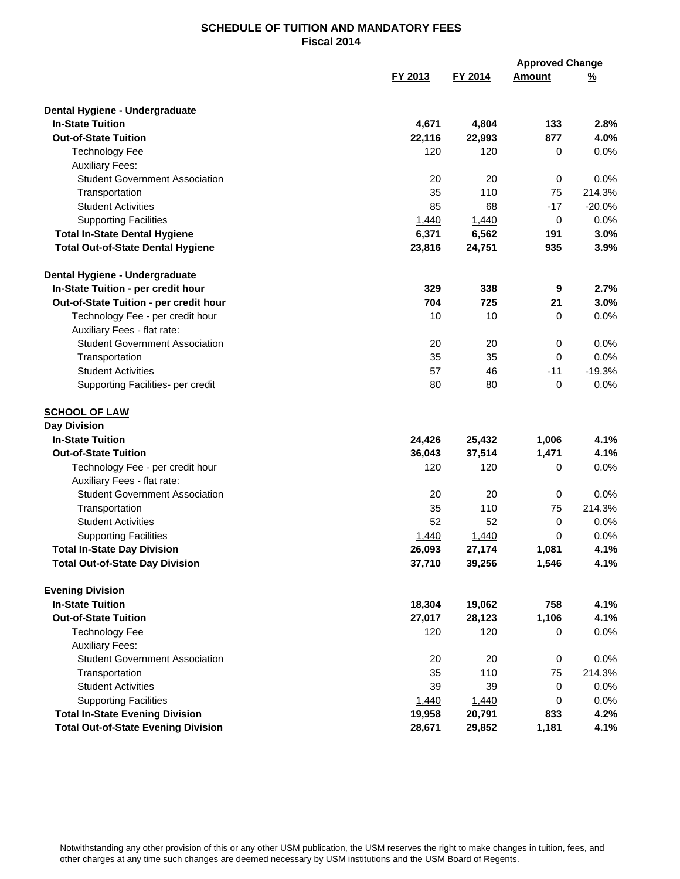|                                                                      |         |           | <b>Approved Change</b> |                |
|----------------------------------------------------------------------|---------|-----------|------------------------|----------------|
|                                                                      | FY 2013 | FY 2014   | Amount                 | <u>%</u>       |
| Dental Hygiene - Undergraduate                                       |         |           |                        |                |
| <b>In-State Tuition</b>                                              | 4,671   | 4,804     | 133                    | 2.8%           |
| <b>Out-of-State Tuition</b>                                          | 22,116  | 22,993    | 877                    | 4.0%           |
| <b>Technology Fee</b>                                                | 120     | 120       | 0                      | 0.0%           |
| <b>Auxiliary Fees:</b>                                               |         |           |                        |                |
| <b>Student Government Association</b>                                | 20      | 20        | 0                      | 0.0%           |
| Transportation                                                       | 35      | 110       | 75                     | 214.3%         |
| <b>Student Activities</b>                                            | 85      | 68        | $-17$                  | $-20.0%$       |
| <b>Supporting Facilities</b>                                         | 1,440   | 1,440     | 0                      | 0.0%           |
| <b>Total In-State Dental Hygiene</b>                                 | 6,371   | 6,562     | 191                    | 3.0%           |
| <b>Total Out-of-State Dental Hygiene</b>                             | 23,816  | 24,751    | 935                    | 3.9%           |
| Dental Hygiene - Undergraduate                                       |         |           |                        |                |
| In-State Tuition - per credit hour                                   | 329     | 338       | 9                      | 2.7%           |
| Out-of-State Tuition - per credit hour                               | 704     | 725       | 21                     | 3.0%           |
| Technology Fee - per credit hour                                     | 10      | 10        | 0                      | 0.0%           |
| Auxiliary Fees - flat rate:                                          |         |           |                        |                |
| <b>Student Government Association</b>                                | 20      | 20        | 0                      | 0.0%           |
| Transportation                                                       | 35      | 35        | $\Omega$               | 0.0%           |
| <b>Student Activities</b>                                            | 57      | 46        | $-11$                  | $-19.3%$       |
| Supporting Facilities- per credit                                    | 80      | 80        | $\mathbf 0$            | 0.0%           |
| <b>SCHOOL OF LAW</b>                                                 |         |           |                        |                |
| <b>Day Division</b>                                                  |         |           |                        |                |
| <b>In-State Tuition</b>                                              | 24,426  | 25,432    | 1,006                  | 4.1%           |
| <b>Out-of-State Tuition</b>                                          | 36,043  | 37,514    | 1,471                  | 4.1%           |
| Technology Fee - per credit hour                                     | 120     | 120       | 0                      | 0.0%           |
| Auxiliary Fees - flat rate:<br><b>Student Government Association</b> | 20      |           |                        |                |
| Transportation                                                       | 35      | 20<br>110 | 0<br>75                | 0.0%<br>214.3% |
| <b>Student Activities</b>                                            | 52      | 52        | 0                      | 0.0%           |
| <b>Supporting Facilities</b>                                         | 1,440   | 1,440     | 0                      | 0.0%           |
| <b>Total In-State Day Division</b>                                   | 26,093  | 27,174    | 1,081                  | 4.1%           |
| <b>Total Out-of-State Day Division</b>                               | 37,710  | 39,256    | 1,546                  | 4.1%           |
| <b>Evening Division</b>                                              |         |           |                        |                |
| <b>In-State Tuition</b>                                              | 18,304  | 19,062    | 758                    | 4.1%           |
| <b>Out-of-State Tuition</b>                                          | 27,017  | 28,123    | 1,106                  | 4.1%           |
| <b>Technology Fee</b>                                                | 120     | 120       | 0                      | 0.0%           |
| <b>Auxiliary Fees:</b>                                               |         |           |                        |                |
| <b>Student Government Association</b>                                | 20      | 20        | 0                      | 0.0%           |
| Transportation                                                       | 35      | 110       | 75                     | 214.3%         |
| <b>Student Activities</b>                                            | 39      | 39        | 0                      | 0.0%           |
| <b>Supporting Facilities</b>                                         | 1,440   | 1,440     | 0                      | 0.0%           |
| <b>Total In-State Evening Division</b>                               | 19,958  | 20,791    | 833                    | 4.2%           |
| <b>Total Out-of-State Evening Division</b>                           | 28,671  | 29,852    | 1,181                  | 4.1%           |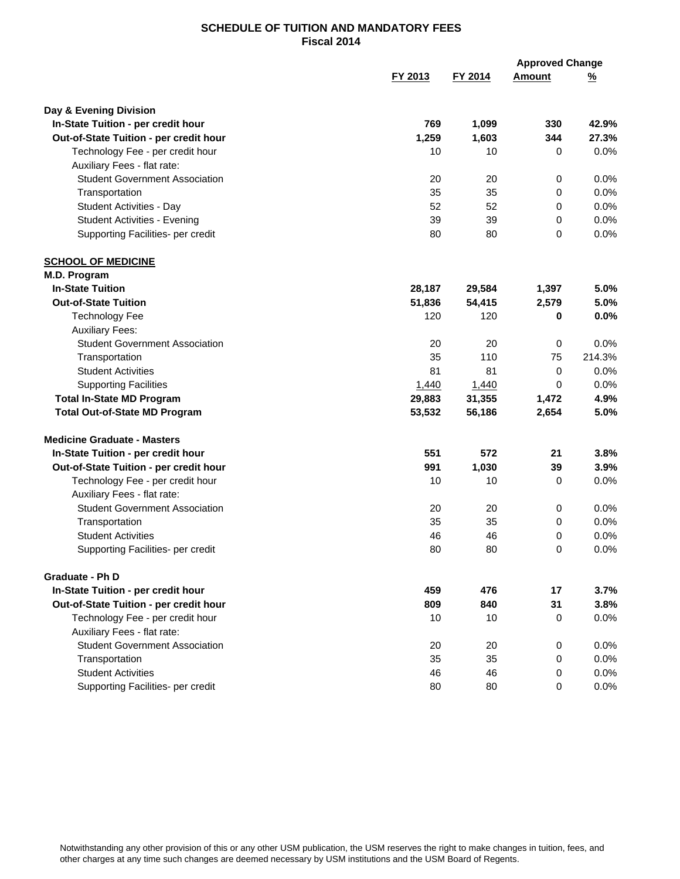|                                        |         |         | <b>Approved Change</b> |          |
|----------------------------------------|---------|---------|------------------------|----------|
|                                        | FY 2013 | FY 2014 | <b>Amount</b>          | <u>%</u> |
| Day & Evening Division                 |         |         |                        |          |
| In-State Tuition - per credit hour     | 769     | 1,099   | 330                    | 42.9%    |
| Out-of-State Tuition - per credit hour | 1,259   | 1,603   | 344                    | 27.3%    |
| Technology Fee - per credit hour       | 10      | 10      | 0                      | 0.0%     |
| Auxiliary Fees - flat rate:            |         |         |                        |          |
| <b>Student Government Association</b>  | 20      | 20      | 0                      | 0.0%     |
| Transportation                         | 35      | 35      | 0                      | 0.0%     |
| Student Activities - Day               | 52      | 52      | 0                      | 0.0%     |
| <b>Student Activities - Evening</b>    | 39      | 39      | 0                      | 0.0%     |
| Supporting Facilities- per credit      | 80      | 80      | 0                      | 0.0%     |
| <b>SCHOOL OF MEDICINE</b>              |         |         |                        |          |
| M.D. Program                           |         |         |                        |          |
| <b>In-State Tuition</b>                | 28,187  | 29,584  | 1,397                  | 5.0%     |
| <b>Out-of-State Tuition</b>            | 51,836  | 54,415  | 2,579                  | 5.0%     |
| <b>Technology Fee</b>                  | 120     | 120     | 0                      | 0.0%     |
| <b>Auxiliary Fees:</b>                 |         |         |                        |          |
| <b>Student Government Association</b>  | 20      | 20      | 0                      | 0.0%     |
| Transportation                         | 35      | 110     | 75                     | 214.3%   |
| <b>Student Activities</b>              | 81      | 81      | $\mathbf 0$            | 0.0%     |
| <b>Supporting Facilities</b>           | 1,440   | 1,440   | 0                      | 0.0%     |
| <b>Total In-State MD Program</b>       | 29,883  | 31,355  | 1,472                  | 4.9%     |
| <b>Total Out-of-State MD Program</b>   | 53,532  | 56,186  | 2,654                  | 5.0%     |
| <b>Medicine Graduate - Masters</b>     |         |         |                        |          |
| In-State Tuition - per credit hour     | 551     | 572     | 21                     | 3.8%     |
| Out-of-State Tuition - per credit hour | 991     | 1,030   | 39                     | 3.9%     |
| Technology Fee - per credit hour       | 10      | 10      | 0                      | 0.0%     |
| Auxiliary Fees - flat rate:            |         |         |                        |          |
| <b>Student Government Association</b>  | 20      | 20      | 0                      | 0.0%     |
| Transportation                         | 35      | 35      | 0                      | 0.0%     |
| <b>Student Activities</b>              | 46      | 46      | 0                      | 0.0%     |
| Supporting Facilities- per credit      | 80      | 80      | 0                      | 0.0%     |
| Graduate - Ph D                        |         |         |                        |          |
| In-State Tuition - per credit hour     | 459     | 476     | 17                     | 3.7%     |
| Out-of-State Tuition - per credit hour | 809     | 840     | 31                     | 3.8%     |
| Technology Fee - per credit hour       | 10      | 10      | 0                      | 0.0%     |
| Auxiliary Fees - flat rate:            |         |         |                        |          |
| <b>Student Government Association</b>  | 20      | 20      | $\mathbf 0$            | 0.0%     |
| Transportation                         | 35      | 35      | $\mathbf 0$            | 0.0%     |
| <b>Student Activities</b>              | 46      | 46      | 0                      | 0.0%     |
| Supporting Facilities- per credit      | 80      | 80      | 0                      | 0.0%     |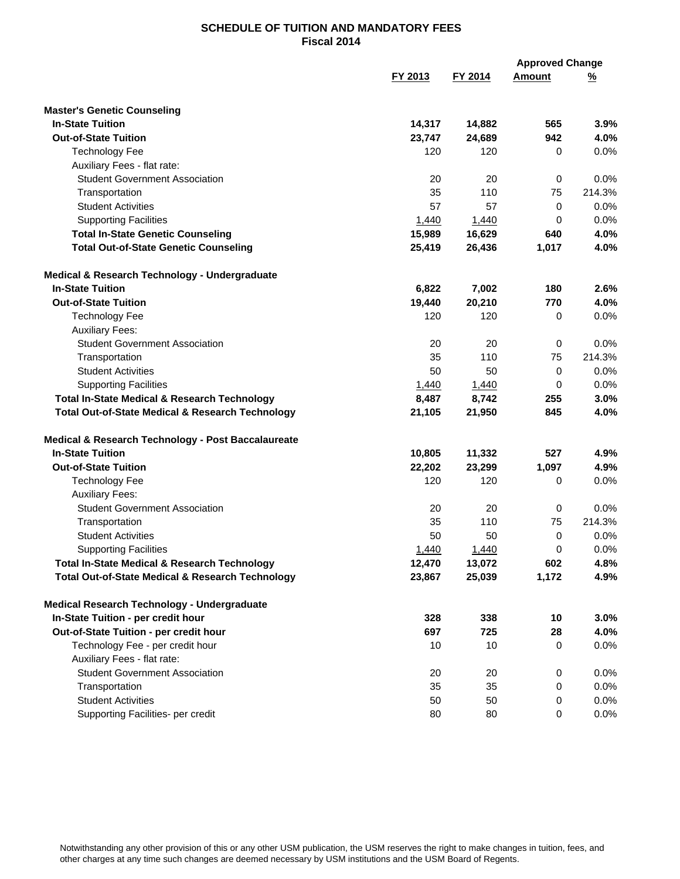|                                                             |         |         | <b>Approved Change</b> |               |
|-------------------------------------------------------------|---------|---------|------------------------|---------------|
|                                                             | FY 2013 | FY 2014 | <b>Amount</b>          | $\frac{9}{6}$ |
| <b>Master's Genetic Counseling</b>                          |         |         |                        |               |
| <b>In-State Tuition</b>                                     | 14,317  | 14,882  | 565                    | 3.9%          |
| <b>Out-of-State Tuition</b>                                 | 23,747  | 24,689  | 942                    | 4.0%          |
| <b>Technology Fee</b>                                       | 120     | 120     | 0                      | 0.0%          |
| Auxiliary Fees - flat rate:                                 |         |         |                        |               |
| <b>Student Government Association</b>                       | 20      | 20      | 0                      | 0.0%          |
| Transportation                                              | 35      | 110     | 75                     | 214.3%        |
| <b>Student Activities</b>                                   | 57      | 57      | 0                      | 0.0%          |
| <b>Supporting Facilities</b>                                | 1,440   | 1,440   | 0                      | 0.0%          |
| <b>Total In-State Genetic Counseling</b>                    | 15,989  | 16,629  | 640                    | 4.0%          |
| <b>Total Out-of-State Genetic Counseling</b>                | 25,419  | 26,436  | 1,017                  | 4.0%          |
| Medical & Research Technology - Undergraduate               |         |         |                        |               |
| <b>In-State Tuition</b>                                     | 6,822   | 7,002   | 180                    | 2.6%          |
| <b>Out-of-State Tuition</b>                                 | 19,440  | 20,210  | 770                    | 4.0%          |
| <b>Technology Fee</b>                                       | 120     | 120     | 0                      | 0.0%          |
| <b>Auxiliary Fees:</b>                                      |         |         |                        |               |
| <b>Student Government Association</b>                       | 20      | 20      | 0                      | 0.0%          |
| Transportation                                              | 35      | 110     | 75                     | 214.3%        |
| <b>Student Activities</b>                                   | 50      | 50      | $\mathbf 0$            | 0.0%          |
| <b>Supporting Facilities</b>                                | 1,440   | 1,440   | 0                      | 0.0%          |
| <b>Total In-State Medical &amp; Research Technology</b>     | 8,487   | 8,742   | 255                    | 3.0%          |
| <b>Total Out-of-State Medical &amp; Research Technology</b> | 21,105  | 21,950  | 845                    | 4.0%          |
| Medical & Research Technology - Post Baccalaureate          |         |         |                        |               |
| <b>In-State Tuition</b>                                     | 10,805  | 11,332  | 527                    | 4.9%          |
| <b>Out-of-State Tuition</b>                                 | 22,202  | 23,299  | 1,097                  | 4.9%          |
| <b>Technology Fee</b>                                       | 120     | 120     | 0                      | 0.0%          |
| <b>Auxiliary Fees:</b>                                      |         |         |                        |               |
| <b>Student Government Association</b>                       | 20      | 20      | 0                      | 0.0%          |
| Transportation                                              | 35      | 110     | 75                     | 214.3%        |
| <b>Student Activities</b>                                   | 50      | 50      | 0                      | 0.0%          |
| <b>Supporting Facilities</b>                                | 1,440   | 1,440   | 0                      | 0.0%          |
| <b>Total In-State Medical &amp; Research Technology</b>     | 12,470  | 13,072  | 602                    | 4.8%          |
| <b>Total Out-of-State Medical &amp; Research Technology</b> | 23,867  | 25,039  | 1,172                  | 4.9%          |
| Medical Research Technology - Undergraduate                 |         |         |                        |               |
| In-State Tuition - per credit hour                          | 328     | 338     | 10                     | 3.0%          |
| Out-of-State Tuition - per credit hour                      | 697     | 725     | 28                     | 4.0%          |
| Technology Fee - per credit hour                            | 10      | 10      | 0                      | $0.0\%$       |
| Auxiliary Fees - flat rate:                                 |         |         |                        |               |
| <b>Student Government Association</b>                       | 20      | 20      | 0                      | 0.0%          |
| Transportation                                              | 35      | 35      | 0                      | 0.0%          |
| <b>Student Activities</b>                                   | 50      | 50      | 0                      | 0.0%          |
| Supporting Facilities- per credit                           | 80      | 80      | 0                      | 0.0%          |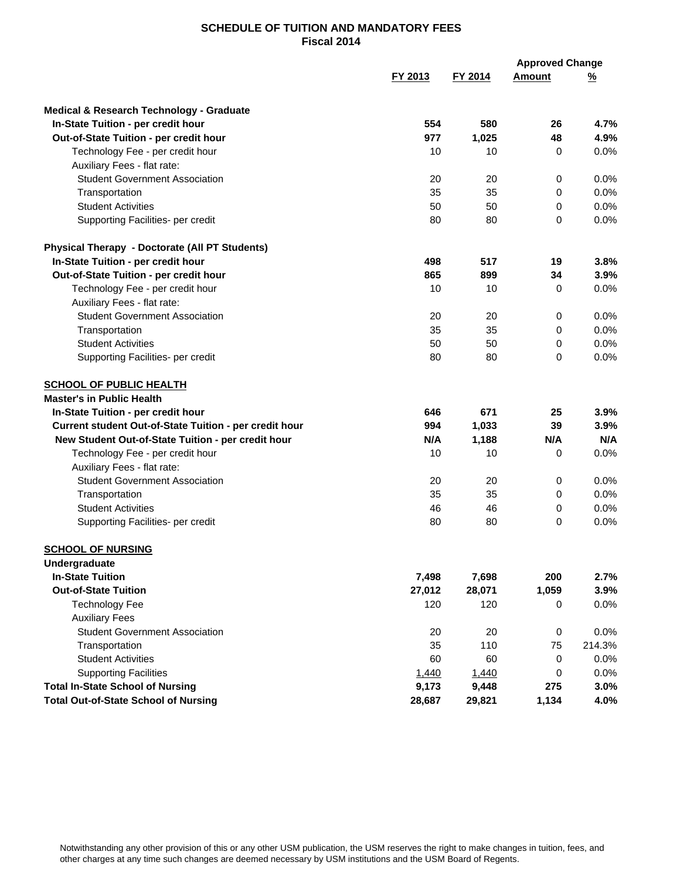| FY 2013<br>FY 2014<br><b>Amount</b><br>$\frac{9}{6}$<br>Medical & Research Technology - Graduate<br>554<br>580<br>4.7%<br>In-State Tuition - per credit hour<br>26<br>977<br>1,025<br>48<br>4.9%<br>Out-of-State Tuition - per credit hour<br>10<br>10<br>0.0%<br>Technology Fee - per credit hour<br>0<br>Auxiliary Fees - flat rate:<br><b>Student Government Association</b><br>0.0%<br>20<br>20<br>0<br>35<br>35<br>0.0%<br>Transportation<br>0<br><b>Student Activities</b><br>50<br>50<br>0.0%<br>0<br>80<br>80<br>0.0%<br>Supporting Facilities- per credit<br>0<br><b>Physical Therapy - Doctorate (All PT Students)</b><br>498<br>517<br>19<br>3.8%<br>In-State Tuition - per credit hour<br>Out-of-State Tuition - per credit hour<br>865<br>899<br>34<br>3.9%<br>Technology Fee - per credit hour<br>10<br>10<br>0.0%<br>0<br>Auxiliary Fees - flat rate:<br><b>Student Government Association</b><br>20<br>20<br>0.0%<br>0<br>0.0%<br>35<br>35<br>Transportation<br>0<br><b>Student Activities</b><br>0.0%<br>50<br>50<br>0<br>Supporting Facilities- per credit<br>80<br>$\Omega$<br>0.0%<br>80<br><b>SCHOOL OF PUBLIC HEALTH</b><br><b>Master's in Public Health</b><br>671<br>In-State Tuition - per credit hour<br>646<br>25<br>3.9%<br>Current student Out-of-State Tuition - per credit hour<br>994<br>1,033<br>39<br>3.9%<br>N/A<br>New Student Out-of-State Tuition - per credit hour<br>N/A<br>1,188<br>N/A<br>10<br>0.0%<br>Technology Fee - per credit hour<br>10<br>0<br>Auxiliary Fees - flat rate:<br><b>Student Government Association</b><br>0.0%<br>20<br>20<br>0<br>35<br>35<br>0.0%<br>Transportation<br>0<br><b>Student Activities</b><br>46<br>46<br>0.0%<br>0<br>80<br>80<br>0<br>0.0%<br>Supporting Facilities- per credit<br><b>SCHOOL OF NURSING</b><br>Undergraduate<br><b>In-State Tuition</b><br>7,498<br>7,698<br>200<br>2.7%<br><b>Out-of-State Tuition</b><br>27,012<br>28,071<br>1,059<br>3.9%<br><b>Technology Fee</b><br>120<br>120<br>0.0%<br>0<br><b>Auxiliary Fees</b><br><b>Student Government Association</b><br>20<br>20<br>0<br>0.0%<br>110<br>Transportation<br>35<br>75<br>214.3%<br><b>Student Activities</b><br>60<br>60<br>0.0%<br>0<br><b>Supporting Facilities</b><br>0.0%<br>1,440<br>1,440<br>0<br><b>Total In-State School of Nursing</b><br>9,173<br>9,448<br>275<br>3.0%<br><b>Total Out-of-State School of Nursing</b><br>28,687<br>29,821<br>1,134<br>4.0% |  | <b>Approved Change</b> |  |
|-------------------------------------------------------------------------------------------------------------------------------------------------------------------------------------------------------------------------------------------------------------------------------------------------------------------------------------------------------------------------------------------------------------------------------------------------------------------------------------------------------------------------------------------------------------------------------------------------------------------------------------------------------------------------------------------------------------------------------------------------------------------------------------------------------------------------------------------------------------------------------------------------------------------------------------------------------------------------------------------------------------------------------------------------------------------------------------------------------------------------------------------------------------------------------------------------------------------------------------------------------------------------------------------------------------------------------------------------------------------------------------------------------------------------------------------------------------------------------------------------------------------------------------------------------------------------------------------------------------------------------------------------------------------------------------------------------------------------------------------------------------------------------------------------------------------------------------------------------------------------------------------------------------------------------------------------------------------------------------------------------------------------------------------------------------------------------------------------------------------------------------------------------------------------------------------------------------------------------------------------------------------------------------------------------------------------------------------------------------------------------------------------------------------------------|--|------------------------|--|
|                                                                                                                                                                                                                                                                                                                                                                                                                                                                                                                                                                                                                                                                                                                                                                                                                                                                                                                                                                                                                                                                                                                                                                                                                                                                                                                                                                                                                                                                                                                                                                                                                                                                                                                                                                                                                                                                                                                                                                                                                                                                                                                                                                                                                                                                                                                                                                                                                               |  |                        |  |
|                                                                                                                                                                                                                                                                                                                                                                                                                                                                                                                                                                                                                                                                                                                                                                                                                                                                                                                                                                                                                                                                                                                                                                                                                                                                                                                                                                                                                                                                                                                                                                                                                                                                                                                                                                                                                                                                                                                                                                                                                                                                                                                                                                                                                                                                                                                                                                                                                               |  |                        |  |
|                                                                                                                                                                                                                                                                                                                                                                                                                                                                                                                                                                                                                                                                                                                                                                                                                                                                                                                                                                                                                                                                                                                                                                                                                                                                                                                                                                                                                                                                                                                                                                                                                                                                                                                                                                                                                                                                                                                                                                                                                                                                                                                                                                                                                                                                                                                                                                                                                               |  |                        |  |
|                                                                                                                                                                                                                                                                                                                                                                                                                                                                                                                                                                                                                                                                                                                                                                                                                                                                                                                                                                                                                                                                                                                                                                                                                                                                                                                                                                                                                                                                                                                                                                                                                                                                                                                                                                                                                                                                                                                                                                                                                                                                                                                                                                                                                                                                                                                                                                                                                               |  |                        |  |
|                                                                                                                                                                                                                                                                                                                                                                                                                                                                                                                                                                                                                                                                                                                                                                                                                                                                                                                                                                                                                                                                                                                                                                                                                                                                                                                                                                                                                                                                                                                                                                                                                                                                                                                                                                                                                                                                                                                                                                                                                                                                                                                                                                                                                                                                                                                                                                                                                               |  |                        |  |
|                                                                                                                                                                                                                                                                                                                                                                                                                                                                                                                                                                                                                                                                                                                                                                                                                                                                                                                                                                                                                                                                                                                                                                                                                                                                                                                                                                                                                                                                                                                                                                                                                                                                                                                                                                                                                                                                                                                                                                                                                                                                                                                                                                                                                                                                                                                                                                                                                               |  |                        |  |
|                                                                                                                                                                                                                                                                                                                                                                                                                                                                                                                                                                                                                                                                                                                                                                                                                                                                                                                                                                                                                                                                                                                                                                                                                                                                                                                                                                                                                                                                                                                                                                                                                                                                                                                                                                                                                                                                                                                                                                                                                                                                                                                                                                                                                                                                                                                                                                                                                               |  |                        |  |
|                                                                                                                                                                                                                                                                                                                                                                                                                                                                                                                                                                                                                                                                                                                                                                                                                                                                                                                                                                                                                                                                                                                                                                                                                                                                                                                                                                                                                                                                                                                                                                                                                                                                                                                                                                                                                                                                                                                                                                                                                                                                                                                                                                                                                                                                                                                                                                                                                               |  |                        |  |
|                                                                                                                                                                                                                                                                                                                                                                                                                                                                                                                                                                                                                                                                                                                                                                                                                                                                                                                                                                                                                                                                                                                                                                                                                                                                                                                                                                                                                                                                                                                                                                                                                                                                                                                                                                                                                                                                                                                                                                                                                                                                                                                                                                                                                                                                                                                                                                                                                               |  |                        |  |
|                                                                                                                                                                                                                                                                                                                                                                                                                                                                                                                                                                                                                                                                                                                                                                                                                                                                                                                                                                                                                                                                                                                                                                                                                                                                                                                                                                                                                                                                                                                                                                                                                                                                                                                                                                                                                                                                                                                                                                                                                                                                                                                                                                                                                                                                                                                                                                                                                               |  |                        |  |
|                                                                                                                                                                                                                                                                                                                                                                                                                                                                                                                                                                                                                                                                                                                                                                                                                                                                                                                                                                                                                                                                                                                                                                                                                                                                                                                                                                                                                                                                                                                                                                                                                                                                                                                                                                                                                                                                                                                                                                                                                                                                                                                                                                                                                                                                                                                                                                                                                               |  |                        |  |
|                                                                                                                                                                                                                                                                                                                                                                                                                                                                                                                                                                                                                                                                                                                                                                                                                                                                                                                                                                                                                                                                                                                                                                                                                                                                                                                                                                                                                                                                                                                                                                                                                                                                                                                                                                                                                                                                                                                                                                                                                                                                                                                                                                                                                                                                                                                                                                                                                               |  |                        |  |
|                                                                                                                                                                                                                                                                                                                                                                                                                                                                                                                                                                                                                                                                                                                                                                                                                                                                                                                                                                                                                                                                                                                                                                                                                                                                                                                                                                                                                                                                                                                                                                                                                                                                                                                                                                                                                                                                                                                                                                                                                                                                                                                                                                                                                                                                                                                                                                                                                               |  |                        |  |
|                                                                                                                                                                                                                                                                                                                                                                                                                                                                                                                                                                                                                                                                                                                                                                                                                                                                                                                                                                                                                                                                                                                                                                                                                                                                                                                                                                                                                                                                                                                                                                                                                                                                                                                                                                                                                                                                                                                                                                                                                                                                                                                                                                                                                                                                                                                                                                                                                               |  |                        |  |
|                                                                                                                                                                                                                                                                                                                                                                                                                                                                                                                                                                                                                                                                                                                                                                                                                                                                                                                                                                                                                                                                                                                                                                                                                                                                                                                                                                                                                                                                                                                                                                                                                                                                                                                                                                                                                                                                                                                                                                                                                                                                                                                                                                                                                                                                                                                                                                                                                               |  |                        |  |
|                                                                                                                                                                                                                                                                                                                                                                                                                                                                                                                                                                                                                                                                                                                                                                                                                                                                                                                                                                                                                                                                                                                                                                                                                                                                                                                                                                                                                                                                                                                                                                                                                                                                                                                                                                                                                                                                                                                                                                                                                                                                                                                                                                                                                                                                                                                                                                                                                               |  |                        |  |
|                                                                                                                                                                                                                                                                                                                                                                                                                                                                                                                                                                                                                                                                                                                                                                                                                                                                                                                                                                                                                                                                                                                                                                                                                                                                                                                                                                                                                                                                                                                                                                                                                                                                                                                                                                                                                                                                                                                                                                                                                                                                                                                                                                                                                                                                                                                                                                                                                               |  |                        |  |
|                                                                                                                                                                                                                                                                                                                                                                                                                                                                                                                                                                                                                                                                                                                                                                                                                                                                                                                                                                                                                                                                                                                                                                                                                                                                                                                                                                                                                                                                                                                                                                                                                                                                                                                                                                                                                                                                                                                                                                                                                                                                                                                                                                                                                                                                                                                                                                                                                               |  |                        |  |
|                                                                                                                                                                                                                                                                                                                                                                                                                                                                                                                                                                                                                                                                                                                                                                                                                                                                                                                                                                                                                                                                                                                                                                                                                                                                                                                                                                                                                                                                                                                                                                                                                                                                                                                                                                                                                                                                                                                                                                                                                                                                                                                                                                                                                                                                                                                                                                                                                               |  |                        |  |
|                                                                                                                                                                                                                                                                                                                                                                                                                                                                                                                                                                                                                                                                                                                                                                                                                                                                                                                                                                                                                                                                                                                                                                                                                                                                                                                                                                                                                                                                                                                                                                                                                                                                                                                                                                                                                                                                                                                                                                                                                                                                                                                                                                                                                                                                                                                                                                                                                               |  |                        |  |
|                                                                                                                                                                                                                                                                                                                                                                                                                                                                                                                                                                                                                                                                                                                                                                                                                                                                                                                                                                                                                                                                                                                                                                                                                                                                                                                                                                                                                                                                                                                                                                                                                                                                                                                                                                                                                                                                                                                                                                                                                                                                                                                                                                                                                                                                                                                                                                                                                               |  |                        |  |
|                                                                                                                                                                                                                                                                                                                                                                                                                                                                                                                                                                                                                                                                                                                                                                                                                                                                                                                                                                                                                                                                                                                                                                                                                                                                                                                                                                                                                                                                                                                                                                                                                                                                                                                                                                                                                                                                                                                                                                                                                                                                                                                                                                                                                                                                                                                                                                                                                               |  |                        |  |
|                                                                                                                                                                                                                                                                                                                                                                                                                                                                                                                                                                                                                                                                                                                                                                                                                                                                                                                                                                                                                                                                                                                                                                                                                                                                                                                                                                                                                                                                                                                                                                                                                                                                                                                                                                                                                                                                                                                                                                                                                                                                                                                                                                                                                                                                                                                                                                                                                               |  |                        |  |
|                                                                                                                                                                                                                                                                                                                                                                                                                                                                                                                                                                                                                                                                                                                                                                                                                                                                                                                                                                                                                                                                                                                                                                                                                                                                                                                                                                                                                                                                                                                                                                                                                                                                                                                                                                                                                                                                                                                                                                                                                                                                                                                                                                                                                                                                                                                                                                                                                               |  |                        |  |
|                                                                                                                                                                                                                                                                                                                                                                                                                                                                                                                                                                                                                                                                                                                                                                                                                                                                                                                                                                                                                                                                                                                                                                                                                                                                                                                                                                                                                                                                                                                                                                                                                                                                                                                                                                                                                                                                                                                                                                                                                                                                                                                                                                                                                                                                                                                                                                                                                               |  |                        |  |
|                                                                                                                                                                                                                                                                                                                                                                                                                                                                                                                                                                                                                                                                                                                                                                                                                                                                                                                                                                                                                                                                                                                                                                                                                                                                                                                                                                                                                                                                                                                                                                                                                                                                                                                                                                                                                                                                                                                                                                                                                                                                                                                                                                                                                                                                                                                                                                                                                               |  |                        |  |
|                                                                                                                                                                                                                                                                                                                                                                                                                                                                                                                                                                                                                                                                                                                                                                                                                                                                                                                                                                                                                                                                                                                                                                                                                                                                                                                                                                                                                                                                                                                                                                                                                                                                                                                                                                                                                                                                                                                                                                                                                                                                                                                                                                                                                                                                                                                                                                                                                               |  |                        |  |
|                                                                                                                                                                                                                                                                                                                                                                                                                                                                                                                                                                                                                                                                                                                                                                                                                                                                                                                                                                                                                                                                                                                                                                                                                                                                                                                                                                                                                                                                                                                                                                                                                                                                                                                                                                                                                                                                                                                                                                                                                                                                                                                                                                                                                                                                                                                                                                                                                               |  |                        |  |
|                                                                                                                                                                                                                                                                                                                                                                                                                                                                                                                                                                                                                                                                                                                                                                                                                                                                                                                                                                                                                                                                                                                                                                                                                                                                                                                                                                                                                                                                                                                                                                                                                                                                                                                                                                                                                                                                                                                                                                                                                                                                                                                                                                                                                                                                                                                                                                                                                               |  |                        |  |
|                                                                                                                                                                                                                                                                                                                                                                                                                                                                                                                                                                                                                                                                                                                                                                                                                                                                                                                                                                                                                                                                                                                                                                                                                                                                                                                                                                                                                                                                                                                                                                                                                                                                                                                                                                                                                                                                                                                                                                                                                                                                                                                                                                                                                                                                                                                                                                                                                               |  |                        |  |
|                                                                                                                                                                                                                                                                                                                                                                                                                                                                                                                                                                                                                                                                                                                                                                                                                                                                                                                                                                                                                                                                                                                                                                                                                                                                                                                                                                                                                                                                                                                                                                                                                                                                                                                                                                                                                                                                                                                                                                                                                                                                                                                                                                                                                                                                                                                                                                                                                               |  |                        |  |
|                                                                                                                                                                                                                                                                                                                                                                                                                                                                                                                                                                                                                                                                                                                                                                                                                                                                                                                                                                                                                                                                                                                                                                                                                                                                                                                                                                                                                                                                                                                                                                                                                                                                                                                                                                                                                                                                                                                                                                                                                                                                                                                                                                                                                                                                                                                                                                                                                               |  |                        |  |
|                                                                                                                                                                                                                                                                                                                                                                                                                                                                                                                                                                                                                                                                                                                                                                                                                                                                                                                                                                                                                                                                                                                                                                                                                                                                                                                                                                                                                                                                                                                                                                                                                                                                                                                                                                                                                                                                                                                                                                                                                                                                                                                                                                                                                                                                                                                                                                                                                               |  |                        |  |
|                                                                                                                                                                                                                                                                                                                                                                                                                                                                                                                                                                                                                                                                                                                                                                                                                                                                                                                                                                                                                                                                                                                                                                                                                                                                                                                                                                                                                                                                                                                                                                                                                                                                                                                                                                                                                                                                                                                                                                                                                                                                                                                                                                                                                                                                                                                                                                                                                               |  |                        |  |
|                                                                                                                                                                                                                                                                                                                                                                                                                                                                                                                                                                                                                                                                                                                                                                                                                                                                                                                                                                                                                                                                                                                                                                                                                                                                                                                                                                                                                                                                                                                                                                                                                                                                                                                                                                                                                                                                                                                                                                                                                                                                                                                                                                                                                                                                                                                                                                                                                               |  |                        |  |
|                                                                                                                                                                                                                                                                                                                                                                                                                                                                                                                                                                                                                                                                                                                                                                                                                                                                                                                                                                                                                                                                                                                                                                                                                                                                                                                                                                                                                                                                                                                                                                                                                                                                                                                                                                                                                                                                                                                                                                                                                                                                                                                                                                                                                                                                                                                                                                                                                               |  |                        |  |
|                                                                                                                                                                                                                                                                                                                                                                                                                                                                                                                                                                                                                                                                                                                                                                                                                                                                                                                                                                                                                                                                                                                                                                                                                                                                                                                                                                                                                                                                                                                                                                                                                                                                                                                                                                                                                                                                                                                                                                                                                                                                                                                                                                                                                                                                                                                                                                                                                               |  |                        |  |
|                                                                                                                                                                                                                                                                                                                                                                                                                                                                                                                                                                                                                                                                                                                                                                                                                                                                                                                                                                                                                                                                                                                                                                                                                                                                                                                                                                                                                                                                                                                                                                                                                                                                                                                                                                                                                                                                                                                                                                                                                                                                                                                                                                                                                                                                                                                                                                                                                               |  |                        |  |
|                                                                                                                                                                                                                                                                                                                                                                                                                                                                                                                                                                                                                                                                                                                                                                                                                                                                                                                                                                                                                                                                                                                                                                                                                                                                                                                                                                                                                                                                                                                                                                                                                                                                                                                                                                                                                                                                                                                                                                                                                                                                                                                                                                                                                                                                                                                                                                                                                               |  |                        |  |
|                                                                                                                                                                                                                                                                                                                                                                                                                                                                                                                                                                                                                                                                                                                                                                                                                                                                                                                                                                                                                                                                                                                                                                                                                                                                                                                                                                                                                                                                                                                                                                                                                                                                                                                                                                                                                                                                                                                                                                                                                                                                                                                                                                                                                                                                                                                                                                                                                               |  |                        |  |
|                                                                                                                                                                                                                                                                                                                                                                                                                                                                                                                                                                                                                                                                                                                                                                                                                                                                                                                                                                                                                                                                                                                                                                                                                                                                                                                                                                                                                                                                                                                                                                                                                                                                                                                                                                                                                                                                                                                                                                                                                                                                                                                                                                                                                                                                                                                                                                                                                               |  |                        |  |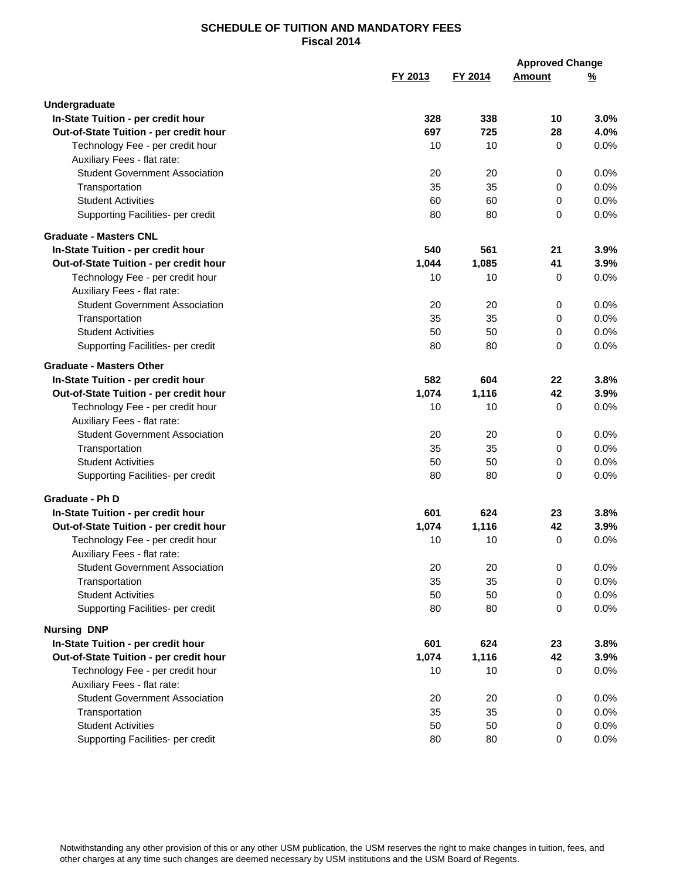|                                                                 |         |         | <b>Approved Change</b> |          |
|-----------------------------------------------------------------|---------|---------|------------------------|----------|
|                                                                 | FY 2013 | FY 2014 | <b>Amount</b>          | <u>%</u> |
| Undergraduate                                                   |         |         |                        |          |
| In-State Tuition - per credit hour                              | 328     | 338     | 10                     | 3.0%     |
| Out-of-State Tuition - per credit hour                          | 697     | 725     | 28                     | 4.0%     |
| Technology Fee - per credit hour                                | 10      | 10      | $\mathbf 0$            | 0.0%     |
| Auxiliary Fees - flat rate:                                     |         |         |                        |          |
| <b>Student Government Association</b>                           | 20      | 20      | 0                      | 0.0%     |
| Transportation                                                  | 35      | 35      | 0                      | 0.0%     |
| <b>Student Activities</b>                                       | 60      | 60      | 0                      | 0.0%     |
| Supporting Facilities- per credit                               | 80      | 80      | 0                      | 0.0%     |
| <b>Graduate - Masters CNL</b>                                   |         |         |                        |          |
| In-State Tuition - per credit hour                              | 540     | 561     | 21                     | 3.9%     |
| Out-of-State Tuition - per credit hour                          | 1,044   | 1,085   | 41                     | 3.9%     |
| Technology Fee - per credit hour<br>Auxiliary Fees - flat rate: | 10      | 10      | 0                      | 0.0%     |
| <b>Student Government Association</b>                           | 20      | 20      | $\pmb{0}$              | 0.0%     |
| Transportation                                                  | 35      | 35      | $\mathbf 0$            | 0.0%     |
| <b>Student Activities</b>                                       | 50      | 50      | $\mathbf 0$            | 0.0%     |
| Supporting Facilities- per credit                               | 80      | 80      | 0                      | 0.0%     |
| <b>Graduate - Masters Other</b>                                 |         |         |                        |          |
| In-State Tuition - per credit hour                              | 582     | 604     | 22                     | 3.8%     |
| Out-of-State Tuition - per credit hour                          | 1,074   | 1,116   | 42                     | 3.9%     |
| Technology Fee - per credit hour                                | 10      | 10      | 0                      | 0.0%     |
| Auxiliary Fees - flat rate:                                     |         |         |                        |          |
| <b>Student Government Association</b>                           | 20      | 20      | 0                      | 0.0%     |
| Transportation                                                  | 35      | 35      | 0                      | 0.0%     |
| <b>Student Activities</b>                                       | 50      | 50      | $\mathbf 0$            | 0.0%     |
| Supporting Facilities- per credit                               | 80      | 80      | $\Omega$               | 0.0%     |
| <b>Graduate - Ph D</b>                                          |         |         |                        |          |
| In-State Tuition - per credit hour                              | 601     | 624     | 23                     | 3.8%     |
| Out-of-State Tuition - per credit hour                          | 1,074   | 1,116   | 42                     | 3.9%     |
| Technology Fee - per credit hour<br>Auxiliary Fees - flat rate: | 10      | 10      | 0                      | 0.0%     |
| <b>Student Government Association</b>                           | 20      | 20      | 0                      | 0.0%     |
| Transportation                                                  | 35      | 35      | 0                      | 0.0%     |
| <b>Student Activities</b>                                       | 50      | 50      | 0                      | 0.0%     |
| Supporting Facilities- per credit                               | 80      | 80      | 0                      | 0.0%     |
| <b>Nursing DNP</b>                                              |         |         |                        |          |
| In-State Tuition - per credit hour                              | 601     | 624     | 23                     | 3.8%     |
| Out-of-State Tuition - per credit hour                          | 1,074   | 1,116   | 42                     | 3.9%     |
| Technology Fee - per credit hour                                | 10      | 10      | 0                      | $0.0\%$  |
| Auxiliary Fees - flat rate:                                     |         |         |                        |          |
| <b>Student Government Association</b>                           | 20      | 20      | 0                      | 0.0%     |
| Transportation                                                  | 35      | 35      | 0                      | 0.0%     |
| <b>Student Activities</b>                                       | 50      | 50      | 0                      | 0.0%     |
| Supporting Facilities- per credit                               | 80      | 80      | 0                      | 0.0%     |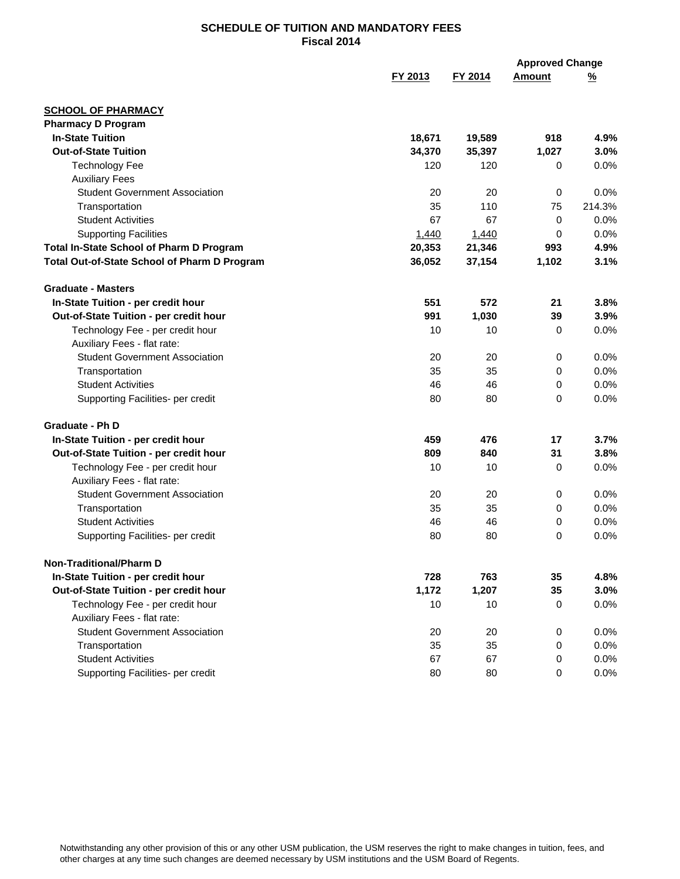|                                                 |         |         | <b>Approved Change</b> |               |
|-------------------------------------------------|---------|---------|------------------------|---------------|
|                                                 | FY 2013 | FY 2014 | <b>Amount</b>          | $\frac{9}{6}$ |
| <b>SCHOOL OF PHARMACY</b>                       |         |         |                        |               |
| <b>Pharmacy D Program</b>                       |         |         |                        |               |
| <b>In-State Tuition</b>                         | 18,671  | 19,589  | 918                    | 4.9%          |
| <b>Out-of-State Tuition</b>                     | 34,370  | 35,397  | 1,027                  | 3.0%          |
| <b>Technology Fee</b>                           | 120     | 120     | 0                      | 0.0%          |
| <b>Auxiliary Fees</b>                           |         |         |                        |               |
| <b>Student Government Association</b>           | 20      | 20      | $\mathbf 0$            | 0.0%          |
| Transportation                                  | 35      | 110     | 75                     | 214.3%        |
| <b>Student Activities</b>                       | 67      | 67      | 0                      | 0.0%          |
| <b>Supporting Facilities</b>                    | 1,440   | 1,440   | 0                      | 0.0%          |
| <b>Total In-State School of Pharm D Program</b> | 20,353  | 21,346  | 993                    | 4.9%          |
| Total Out-of-State School of Pharm D Program    | 36,052  | 37,154  | 1,102                  | 3.1%          |
| <b>Graduate - Masters</b>                       |         |         |                        |               |
| In-State Tuition - per credit hour              | 551     | 572     | 21                     | 3.8%          |
| Out-of-State Tuition - per credit hour          | 991     | 1,030   | 39                     | 3.9%          |
| Technology Fee - per credit hour                | 10      | 10      | 0                      | 0.0%          |
| Auxiliary Fees - flat rate:                     |         |         |                        |               |
| <b>Student Government Association</b>           | 20      | 20      | 0                      | 0.0%          |
| Transportation                                  | 35      | 35      | 0                      | 0.0%          |
| <b>Student Activities</b>                       | 46      | 46      | 0                      | 0.0%          |
| Supporting Facilities- per credit               | 80      | 80      | 0                      | 0.0%          |
| Graduate - Ph D                                 |         |         |                        |               |
| In-State Tuition - per credit hour              | 459     | 476     | 17                     | 3.7%          |
| Out-of-State Tuition - per credit hour          | 809     | 840     | 31                     | 3.8%          |
| Technology Fee - per credit hour                | 10      | 10      | 0                      | 0.0%          |
| Auxiliary Fees - flat rate:                     |         |         |                        |               |
| <b>Student Government Association</b>           | 20      | 20      | 0                      | 0.0%          |
| Transportation                                  | 35      | 35      | 0                      | 0.0%          |
| <b>Student Activities</b>                       | 46      | 46      | 0                      | 0.0%          |
| Supporting Facilities- per credit               | 80      | 80      | 0                      | 0.0%          |
| <b>Non-Traditional/Pharm D</b>                  |         |         |                        |               |
| In-State Tuition - per credit hour              | 728     | 763     | 35                     | 4.8%          |
| Out-of-State Tuition - per credit hour          | 1,172   | 1,207   | 35                     | 3.0%          |
| Technology Fee - per credit hour                | 10      | 10      | 0                      | 0.0%          |
| Auxiliary Fees - flat rate:                     |         |         |                        |               |
| <b>Student Government Association</b>           | 20      | 20      | 0                      | 0.0%          |
| Transportation                                  | 35      | 35      | 0                      | 0.0%          |
| <b>Student Activities</b>                       | 67      | 67      | 0                      | 0.0%          |
| Supporting Facilities- per credit               | 80      | 80      | 0                      | 0.0%          |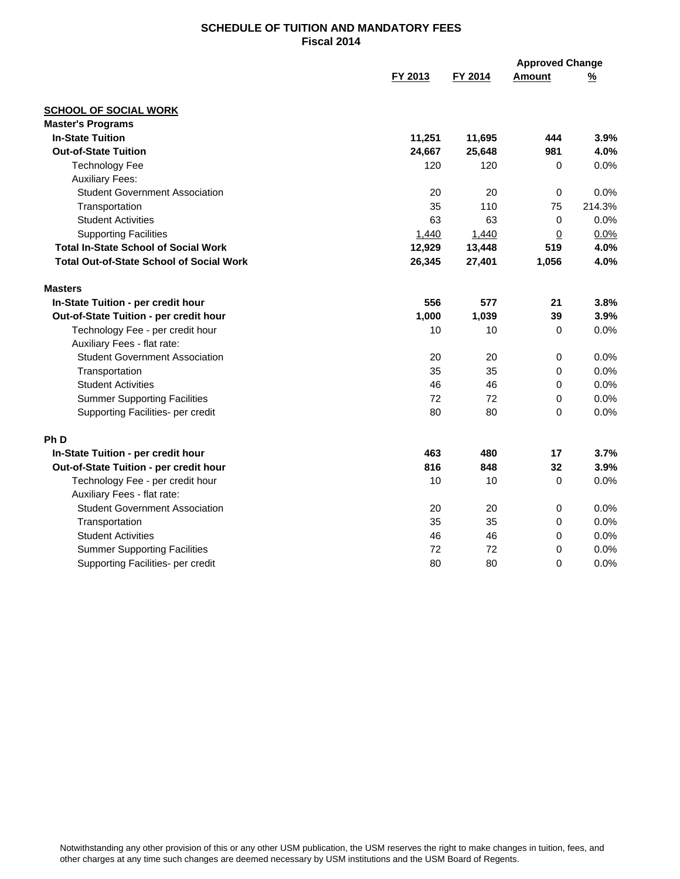|                                                 | FY 2013 | FY 2014 | <b>Approved Change</b><br><b>Amount</b> | $\frac{9}{6}$ |
|-------------------------------------------------|---------|---------|-----------------------------------------|---------------|
|                                                 |         |         |                                         |               |
| <b>SCHOOL OF SOCIAL WORK</b>                    |         |         |                                         |               |
| <b>Master's Programs</b>                        |         |         |                                         |               |
| <b>In-State Tuition</b>                         | 11,251  | 11,695  | 444                                     | 3.9%          |
| <b>Out-of-State Tuition</b>                     | 24,667  | 25,648  | 981                                     | 4.0%          |
| <b>Technology Fee</b>                           | 120     | 120     | 0                                       | 0.0%          |
| <b>Auxiliary Fees:</b>                          |         |         |                                         |               |
| <b>Student Government Association</b>           | 20      | 20      | 0                                       | 0.0%          |
| Transportation                                  | 35      | 110     | 75                                      | 214.3%        |
| <b>Student Activities</b>                       | 63      | 63      | $\mathbf 0$                             | 0.0%          |
| <b>Supporting Facilities</b>                    | 1,440   | 1,440   | $\overline{0}$                          | 0.0%          |
| <b>Total In-State School of Social Work</b>     | 12,929  | 13,448  | 519                                     | 4.0%          |
| <b>Total Out-of-State School of Social Work</b> | 26,345  | 27,401  | 1,056                                   | 4.0%          |
| <b>Masters</b>                                  |         |         |                                         |               |
| In-State Tuition - per credit hour              | 556     | 577     | 21                                      | 3.8%          |
| Out-of-State Tuition - per credit hour          | 1,000   | 1,039   | 39                                      | 3.9%          |
| Technology Fee - per credit hour                | 10      | 10      | $\mathbf 0$                             | 0.0%          |
| Auxiliary Fees - flat rate:                     |         |         |                                         |               |
| <b>Student Government Association</b>           | 20      | 20      | $\pmb{0}$                               | 0.0%          |
| Transportation                                  | 35      | 35      | 0                                       | 0.0%          |
| <b>Student Activities</b>                       | 46      | 46      | 0                                       | 0.0%          |
| <b>Summer Supporting Facilities</b>             | 72      | 72      | $\mathbf 0$                             | 0.0%          |
| Supporting Facilities- per credit               | 80      | 80      | $\Omega$                                | 0.0%          |
| <b>PhD</b>                                      |         |         |                                         |               |
| In-State Tuition - per credit hour              | 463     | 480     | 17                                      | 3.7%          |
| Out-of-State Tuition - per credit hour          | 816     | 848     | 32                                      | 3.9%          |
| Technology Fee - per credit hour                | 10      | 10      | 0                                       | 0.0%          |
| Auxiliary Fees - flat rate:                     |         |         |                                         |               |
| <b>Student Government Association</b>           | 20      | 20      | 0                                       | 0.0%          |
| Transportation                                  | 35      | 35      | 0                                       | 0.0%          |
| <b>Student Activities</b>                       | 46      | 46      | 0                                       | 0.0%          |
| <b>Summer Supporting Facilities</b>             | 72      | 72      | 0                                       | 0.0%          |
| Supporting Facilities- per credit               | 80      | 80      | $\Omega$                                | 0.0%          |